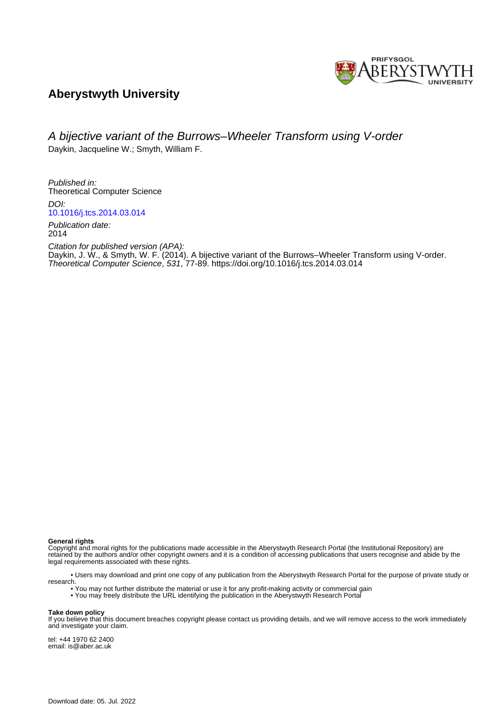

### **Aberystwyth University**

## A bijective variant of the Burrows–Wheeler Transform using V-order

Daykin, Jacqueline W.; Smyth, William F.

Published in: Theoretical Computer Science DOI:

[10.1016/j.tcs.2014.03.014](https://doi.org/10.1016/j.tcs.2014.03.014)

Publication date: 2014

Citation for published version (APA): [Daykin, J. W.,](https://pure.aber.ac.uk/portal/en/persons/jacqueline-daykin(16bf36d7-bde2-4a56-9768-9daed3ddcf05).html) & Smyth, W. F. (2014). [A bijective variant of the Burrows–Wheeler Transform using V-order](https://pure.aber.ac.uk/portal/en/publications/a-bijective-variant-of-the-burrowswheeler-transform-using-vorder(05061384-9f85-4ac1-9e1d-b4d0bf32a6d5).html). Theoretical Computer Science, 531, 77-89.<https://doi.org/10.1016/j.tcs.2014.03.014>

**General rights**

Copyright and moral rights for the publications made accessible in the Aberystwyth Research Portal (the Institutional Repository) are retained by the authors and/or other copyright owners and it is a condition of accessing publications that users recognise and abide by the legal requirements associated with these rights.

 • Users may download and print one copy of any publication from the Aberystwyth Research Portal for the purpose of private study or research.

• You may not further distribute the material or use it for any profit-making activity or commercial gain

### • You may freely distribute the URL identifying the publication in the Aberystwyth Research Portal

#### **Take down policy**

If you believe that this document breaches copyright please contact us providing details, and we will remove access to the work immediately and investigate your claim.

tel: +44 1970 62 2400 email: is@aber.ac.uk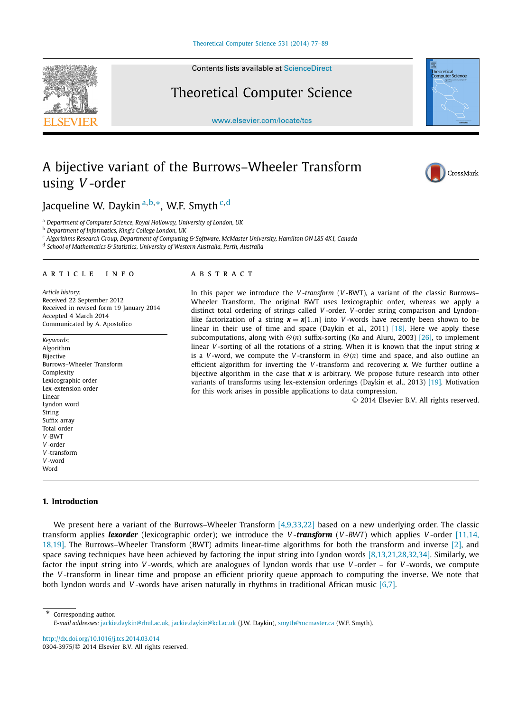Contents lists available at [ScienceDirect](http://www.ScienceDirect.com/)

# Theoretical Computer Science

[www.elsevier.com/locate/tcs](http://www.elsevier.com/locate/tcs)



# A bijective variant of the Burrows–Wheeler Transform using *V* -order



### Jacqueline W. Daykin <sup>a</sup>*,*b*,*∗, W.F. Smyth <sup>c</sup>*,*<sup>d</sup>

<sup>a</sup> *Department of Computer Science, Royal Holloway, University of London, UK*

<sup>b</sup> *Department of Informatics, King's College London, UK*

<sup>c</sup> *Algorithms Research Group, Department of Computing & Software, McMaster University, Hamilton ON L8S 4K1, Canada*

<sup>d</sup> *School of Mathematics & Statistics, University of Western Australia, Perth, Australia*

#### article info abstract

*Article history:* Received 22 September 2012 Received in revised form 19 January 2014 Accepted 4 March 2014 Communicated by A. Apostolico

*Keywords:* Algorithm Bijective Burrows–Wheeler Transform Complexity Lexicographic order Lex-extension order Linear Lyndon word String Suffix array Total order *V* -BWT *V* -order *V* -transform *V* -word **Word** 

In this paper we introduce the *V -transform* (*V* -BWT), a variant of the classic Burrows– Wheeler Transform. The original BWT uses lexicographic order, whereas we apply a distinct total ordering of strings called *V* -order. *V* -order string comparison and Lyndonlike factorization of a string  $x = x[1..n]$  into *V*-words have recently been shown to be linear in their use of time and space (Daykin et al., 2011) [\[18\].](#page-13-0) Here we apply these subcomputations, along with *Θ(n)* suffix-sorting (Ko and Aluru, 2003) [\[26\],](#page-13-0) to implement linear *V*-sorting of all the rotations of a string. When it is known that the input string **x** is a *V* -word, we compute the *V* -transform in *Θ(n)* time and space, and also outline an efficient algorithm for inverting the *V* -transform and recovering *x*. We further outline a bijective algorithm in the case that *x* is arbitrary. We propose future research into other variants of transforms using lex-extension orderings (Daykin et al., 2013) [\[19\].](#page-13-0) Motivation for this work arises in possible applications to data compression.

© 2014 Elsevier B.V. All rights reserved.

#### **1. Introduction**

We present here a variant of the Burrows–Wheeler Transform [\[4,9,33,22\]](#page-13-0) based on a new underlying order. The classic transform applies *lexorder* (lexicographic order); we introduce the *V* -*transform* (*V* -*BWT*) which applies *V* -order [\[11,14,](#page-13-0) [18,19\].](#page-13-0) The Burrows–Wheeler Transform (BWT) admits linear-time algorithms for both the transform and inverse [\[2\],](#page-13-0) and space saving techniques have been achieved by factoring the input string into Lyndon words  $[8,13,21,28,32,34]$ . Similarly, we factor the input string into *V* -words, which are analogues of Lyndon words that use *V* -order – for *V* -words, we compute the *V* -transform in linear time and propose an efficient priority queue approach to computing the inverse. We note that both Lyndon words and *V* -words have arisen naturally in rhythms in traditional African music [\[6,7\].](#page-13-0)

\* Corresponding author.

<http://dx.doi.org/10.1016/j.tcs.2014.03.014> 0304-3975/© 2014 Elsevier B.V. All rights reserved.

*E-mail addresses:* [jackie.daykin@rhul.ac.uk](mailto:jackie.daykin@rhul.ac.uk), [jackie.daykin@kcl.ac.uk](mailto:jackie.daykin@kcl.ac.uk) (J.W. Daykin), [smyth@mcmaster.ca](mailto:smyth@mcmaster.ca) (W.F. Smyth).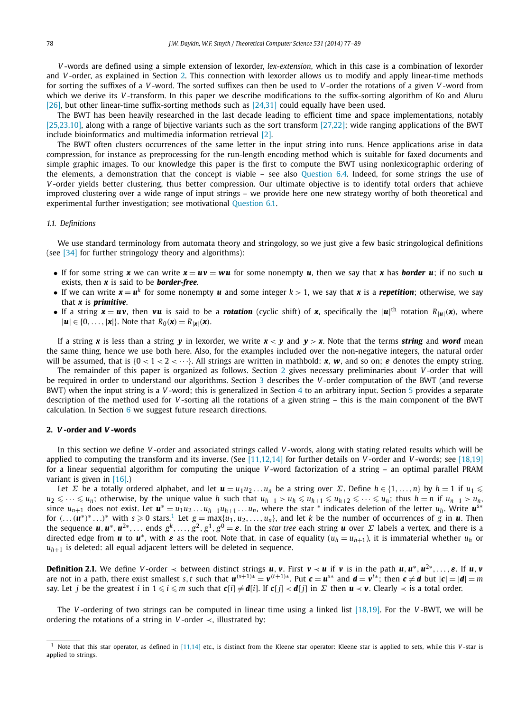<span id="page-2-0"></span>*V* -words are defined using a simple extension of lexorder, *lex-extension*, which in this case is a combination of lexorder and *V* -order, as explained in Section 2. This connection with lexorder allows us to modify and apply linear-time methods for sorting the suffixes of a *V* -word. The sorted suffixes can then be used to *V* -order the rotations of a given *V* -word from which we derive its *V* -transform. In this paper we describe modifications to the suffix-sorting algorithm of Ko and Aluru [\[26\],](#page-13-0) but other linear-time suffix-sorting methods such as [\[24,31\]](#page-13-0) could equally have been used.

The BWT has been heavily researched in the last decade leading to efficient time and space implementations, notably [\[25,23,10\],](#page-13-0) along with a range of bijective variants such as the sort transform [\[27,22\];](#page-13-0) wide ranging applications of the BWT include bioinformatics and multimedia information retrieval [\[2\].](#page-13-0)

The BWT often clusters occurrences of the same letter in the input string into runs. Hence applications arise in data compression, for instance as preprocessing for the run-length encoding method which is suitable for faxed documents and simple graphic images. To our knowledge this paper is the first to compute the BWT using nonlexicographic ordering of the elements, a demonstration that the concept is viable – see also [Question 6.4.](#page-12-0) Indeed, for some strings the use of *V* -order yields better clustering, thus better compression. Our ultimate objective is to identify total orders that achieve improved clustering over a wide range of input strings – we provide here one new strategy worthy of both theoretical and experimental further investigation; see motivational [Question 6.1.](#page-12-0)

#### *1.1. Definitions*

We use standard terminology from automata theory and stringology, so we just give a few basic stringological definitions (see [\[34\]](#page-13-0) for further stringology theory and algorithms):

- If for some string *x* we can write  $x = uv = wu$  for some nonempty *u*, then we say that *x* has **border** *u*; if no such *u* exists, then *x* is said to be *border-free*.
- If we can write  $x = u^k$  for some nonempty  $u$  and some integer  $k > 1$ , we say that  $x$  is a *repetition*; otherwise, we say that *x* is *primitive*.
- If a string  $x = uv$ , then vu is said to be a *rotation* (cyclic shift) of x, specifically the  $|u|$ <sup>th</sup> rotation  $R_{|u|}(x)$ , where  $|\mathbf{u}| \in \{0, \ldots, |\mathbf{x}|\}.$  Note that  $R_0(\mathbf{x}) = R_{|\mathbf{x}|}(\mathbf{x})$ .

If a string x is less than a string  $\bf{v}$  in lexorder, we write  $\bf{x} < \bf{v}$  and  $\bf{v} > \bf{x}$ . Note that the terms **string** and **word** mean the same thing, hence we use both here. Also, for the examples included over the non-negative integers, the natural order will be assumed, that is  $\{0 < 1 < 2 < \cdots\}$ . All strings are written in mathbold: **x**, **w**, and so on; *e* denotes the empty string.

The remainder of this paper is organized as follows. Section 2 gives necessary preliminaries about *V* -order that will be required in order to understand our algorithms. Section [3](#page-5-0) describes the *V* -order computation of the BWT (and reverse BWT) when the input string is a *V* -word; this is generalized in Section [4](#page-8-0) to an arbitrary input. Section [5](#page-10-0) provides a separate description of the method used for *V* -sorting all the rotations of a given string – this is the main component of the BWT calculation. In Section [6](#page-12-0) we suggest future research directions.

#### **2.** *V* **-order and** *V* **-words**

In this section we define *V* -order and associated strings called *V* -words, along with stating related results which will be applied to computing the transform and its inverse. (See [\[11,12,14\]](#page-13-0) for further details on *V* -order and *V* -words; see [\[18,19\]](#page-13-0) for a linear sequential algorithm for computing the unique *V* -word factorization of a string – an optimal parallel PRAM variant is given in [\[16\].](#page-13-0))

Let  $\Sigma$  be a totally ordered alphabet, and let  $\bm{u}=u_1u_2\ldots u_n$  be a string over  $\Sigma.$  Define  $h\in\{1,\ldots,n\}$  by  $h=1$  if  $u_1\leqslant$ *u*<sub>2</sub>  $\leq$   $\cdots \leq u_n$ ; otherwise, by the unique value *h* such that  $u_{h-1} > u_h \leq u_{h+1} \leq u_{h+2} \leq \cdots \leq u_n$ ; thus *h* = *n* if  $u_{n-1} > u_n$ . since  $u_{n+1}$  does not exist. Let  $u^* = u_1u_2 \ldots u_{h-1}u_{h+1} \ldots u_n$ , where the star \* indicates deletion of the letter  $u_h$ . Write  $u^{s*}$ for  $(\ldots(\mathbf{u}^*)^* \ldots)^*$  with  $s \ge 0$  stars.<sup>1</sup> Let  $g = \max\{u_1, u_2, \ldots, u_n\}$ , and let *k* be the number of occurrences of *g* in *u*. Then the sequence  $u, u^*, u^{2*}, \ldots$  ends  $g^k, \ldots, g^2, g^1, g^0 = \varepsilon$ . In the star tree each string  $u$  over  $\Sigma$  labels a vertex, and there is a directed edge from *u* to  $u^*$ , with  $\varepsilon$  as the root. Note that, in case of equality  $(u_h = u_{h+1})$ , it is immaterial whether  $u_h$  or  $u_{h+1}$  is deleted: all equal adjacent letters will be deleted in sequence.

**Definition 2.1.** We define V-order  $\prec$  between distinct strings  $u, v$ . First  $v \prec u$  if v is in the path  $u, u^*, u^{2*}, \ldots, \varepsilon$ . If  $u, v$ are not in a path, there exist smallest s, t such that  $u^{(s+1)*} = v^{(t+1)*}$ . Put  $c = u^{s*}$  and  $d = v^{t*}$ ; then  $c \neq d$  but  $|c| = |d| = m$ say. Let  $j$  be the greatest  $i$  in  $1\leqslant i\leqslant m$  such that  $\mathbf{c}[i]\neq \mathbf{d}[i].$  If  $\mathbf{c}[j]<\mathbf{d}[j]$  in  $\Sigma$  then  $\mathbf{u}\prec \mathbf{v}.$  Clearly  $\prec$  is a total order.

The *V* -ordering of two strings can be computed in linear time using a linked list [\[18,19\].](#page-13-0) For the *V* -BWT, we will be ordering the rotations of a string in *V*-order  $\prec$ , illustrated by:

Note that this star operator, as defined in [\[11,14\]](#page-13-0) etc., is distinct from the Kleene star operator: Kleene star is applied to sets, while this *V*-star is applied to strings.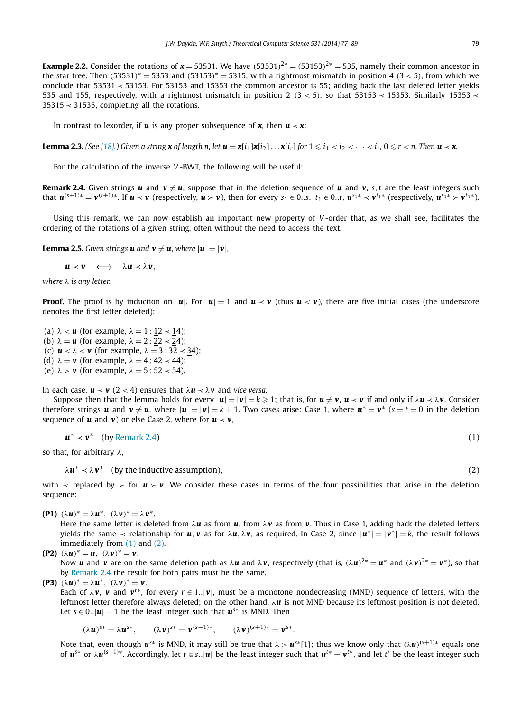<span id="page-3-0"></span>**Example 2.2.** Consider the rotations of  $x = 53531$ . We have  $(53531)^{2*} = (53153)^{2*} = 535$ , namely their common ancestor in the star tree. Then *(*53531*)*<sup>∗</sup> = 5353 and *(*53153*)*<sup>∗</sup> = 5315, with a rightmost mismatch in position 4 *(*3 *<* 5*)*, from which we conclude that 53531 ≺ 53153. For 53153 and 15353 the common ancestor is 55; adding back the last deleted letter yields 535 and 155, respectively, with a rightmost mismatch in position 2  $(3 < 5)$ , so that 53153  $\prec$  15353. Similarly 15353  $\prec$ 35315 ≺ 31535, completing all the rotations.

In contrast to lexorder, if  $u$  is any proper subsequence of  $x$ , then  $u \prec x$ :

**Lemma 2.3.** (See [\[18\].](#page-13-0)) Given a string **x** of length n, let  $\bm{u}=\bm{x}[i_1]\bm{x}[i_2]\ldots\bm{x}[i_r]$  for  $1\leqslant i_1 < i_2 < \cdots < i_r$ ,  $0\leqslant r < n$ . Then  $\bm{u}\prec\bm{x}$ .

For the calculation of the inverse *V* -BWT, the following will be useful:

**Remark 2.4.** Given strings **u** and  $v \neq u$ , suppose that in the deletion sequence of **u** and **v**, *s*, *t* are the least integers such that  $u^{(s+1)*} = v^{(t+1)*}$ . If  $u \lt v$  (respectively,  $u \gt v$ ), then for every  $s_1 \in 0.s$ ,  $t_1 \in 0.t$ ,  $u^{s_1*} \lt v^{t_1*}$  (respectively,  $u^{s_1*} \gt v^{t_1*}$ ).

Using this remark, we can now establish an important new property of *V* -order that, as we shall see, facilitates the ordering of the rotations of a given string, often without the need to access the text.

**Lemma 2.5.** *Given strings u* and  $v \neq u$ *, where*  $|u| = |v|$ *,* 

 $u \prec v \iff \lambda u \prec \lambda v$ ,

*where λ is any letter.*

**Proof.** The proof is by induction on |*u*|. For  $|u|=1$  and  $u \lt v$  (thus  $u \lt v$ ), there are five initial cases (the underscore denotes the first letter deleted):

(a)  $\lambda < u$  (for example,  $\lambda = 1 : 12 \prec 14$ ); (b)  $\lambda = u$  (for example,  $\lambda = 2$ : 22  $\prec$  24); (c)  $\mathbf{u} < \lambda < \mathbf{v}$  (for example,  $\lambda = 3 : 32 \times 34$ ); (d)  $\lambda = v$  (for example,  $\lambda = 4 : 42 \lt 44$ ); (e)  $\lambda > \nu$  (for example,  $\lambda = 5 : 52 \times 54$ ).

In each case,  $\mathbf{u} \prec \mathbf{v}$  (2 < 4) ensures that  $\lambda \mathbf{u} \prec \lambda \mathbf{v}$  and *vice versa*.

Suppose then that the lemma holds for every  $|u|=|v|=k\geq 1$ ; that is, for  $u\neq v$ ,  $u\prec v$  if and only if  $\lambda u\prec\lambda v$ . Consider therefore strings *u* and  $v \neq u$ , where  $|u| = |v| = k + 1$ . Two cases arise: Case 1, where  $u^* = v^*$  ( $s = t = 0$  in the deletion sequence of  $\boldsymbol{u}$  and  $\boldsymbol{v}$ ) or else Case 2, where for  $\boldsymbol{u} \prec \boldsymbol{v}$ ,

$$
\boldsymbol{u}^* \prec \boldsymbol{v}^* \quad \text{(by Remark 2.4)} \tag{1}
$$

so that, for arbitrary *λ*,

 $\lambda$ *u*<sup>\*</sup>  $\prec \lambda$ *v*<sup>\*</sup> (by the inductive assumption), (2)

with  $\prec$  replaced by  $\succ$  for  $u \succ v$ . We consider these cases in terms of the four possibilities that arise in the deletion sequence:

**(P1)**  $(\lambda u)^* = \lambda u^*, \ (\lambda v)^* = \lambda v^*.$ 

Here the same letter is deleted from *λu* as from *u*, from *λv* as from *v*. Thus in Case 1, adding back the deleted letters *yields* the same  $\prec$  relationship for *u, v* as for *λu,λv*, as required. In Case 2, since  $|u^*| = |v^*| = k$ , the result follows immediately from (1) and (2).

$$
(P2) (\lambda u)^* = u, (\lambda v)^* = v.
$$

Now *u* and *v* are on the same deletion path as  $\lambda$ *u* and  $\lambda$ *v*, respectively (that is,  $(\lambda u)^{2*} = u^*$  and  $(\lambda v)^{2*} = v^*$ ), so that by Remark 2.4 the result for both pairs must be the same.

**(P3)**  $(\lambda u)^* = \lambda u^*$ ,  $(\lambda v)^* = v$ .

Each of  $\lambda$ *v*, *v* and  $v^{r*}$ , for every  $r \in 1..|\nu|$ , must be a monotone nondecreasing (MND) sequence of letters, with the leftmost letter therefore always deleted; on the other hand, *λu* is not MND because its leftmost position is not deleted. Let *s* ∈ 0..| $\boldsymbol{u}$ | − 1 be the least integer such that  $\boldsymbol{u}^{s*}$  is MND. Then

$$
(\lambda \mathbf{u})^{s*} = \lambda \mathbf{u}^{s*}, \qquad (\lambda \mathbf{v})^{s*} = \mathbf{v}^{(s-1)*}, \qquad (\lambda \mathbf{v})^{(s+1)*} = \mathbf{v}^{s*}.
$$

Note that, even though  $u^{s*}$  is MND, it may still be true that  $\lambda > u^{s*}[1]$ ; thus we know only that  $(\lambda u)^{(s+1)*}$  equals one of  $u^{s*}$  or  $\lambda u^{(s+1)*}$ . Accordingly, let  $t \in s$ . |u| be the least integer such that  $u^{t*} = v^{t*}$ , and let t' be the least integer such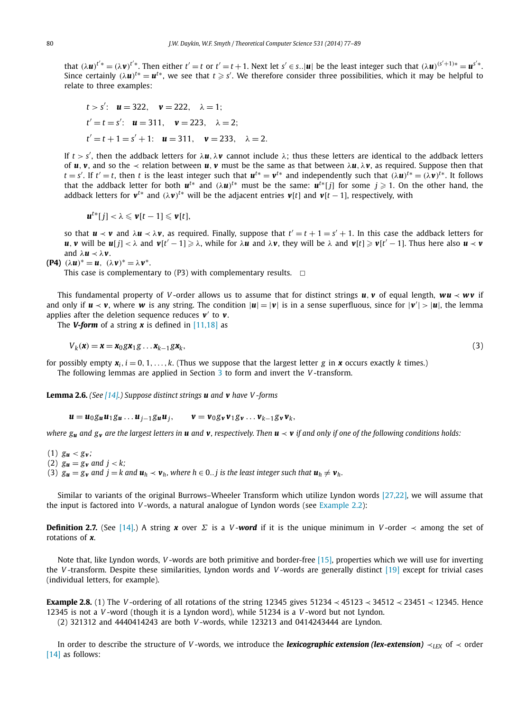<span id="page-4-0"></span>that  $(\lambda \mathbf{u})^{t'*} = (\lambda \mathbf{v})^{t'*}$ . Then either  $t' = t$  or  $t' = t + 1$ . Next let  $s' \in s$ . |u| be the least integer such that  $(\lambda \mathbf{u})^{(s'+1)*} = \mathbf{u}^{s'*}$ . Since certainly  $(\lambda u)^{t*} = u^{t*}$ , we see that  $t \geqslant s'$ . We therefore consider three possibilities, which it may be helpful to relate to three examples:

*t* > *s'*: **u** = 322, **v** = 222, 
$$
\lambda = 1
$$
;  
\n*t'* = *t* = *s'*: **u** = 311, **v** = 223,  $\lambda = 2$ ;  
\n*t'* = *t* + 1 = *s'* + 1: **u** = 311, **v** = 233,  $\lambda = 2$ .

If  $t > s'$ , then the addback letters for  $\lambda u$ ,  $\lambda v$  cannot include  $\lambda$ ; thus these letters are identical to the addback letters of *u*, *v*, and so the  $\prec$  relation between *u*, *v* must be the same as that between  $\lambda$ *u*,  $\lambda$ *v*, as required. Suppose then that  $t = s'$ . If  $t' = t$ , then t is the least integer such that  $u^{t*} = v^{t*}$  and independently such that  $(\lambda u)^{t*} = (\lambda v)^{t*}$ . It follows that the addback letter for both  $u^{t*}$  and  $(\lambda u)^{t*}$  must be the same:  $u^{t*}[j]$  for some  $j\geqslant 1$ . On the other hand, the addback letters for  $v^{t*}$  and  $(\lambda v)^{t*}$  will be the adjacent entries  $v[t]$  and  $v[t-1]$ , respectively, with

$$
\boldsymbol{u}^{t*}[j] < \lambda \leqslant \boldsymbol{v}[t-1] \leqslant \boldsymbol{v}[t],
$$

so that  $u \prec v$  and  $\lambda u \prec \lambda v$ , as required. Finally, suppose that  $t' = t + 1 = s' + 1$ . In this case the addback letters for  $u, v$  will be  $u[j] < \lambda$  and  $v[t'-1] \ge \lambda$ , while for  $\lambda u$  and  $\lambda v$ , they will be  $\lambda$  and  $v[t] \ge v[t'-1]$ . Thus here also  $u \prec v$ and  $\lambda$ *u*  $\prec \lambda$ *v*.

$$
(\mathbf{P4})\ (\lambda\mathbf{u})^* = \mathbf{u},\ (\lambda\mathbf{v})^* = \lambda\mathbf{v}^*.
$$

This case is complementary to (P3) with complementary results.  $\Box$ 

This fundamental property of *V* -order allows us to assume that for distinct strings *u, v* of equal length, *wu* ≺ *w v* if and only if  $u \lt v$ , where w is any string. The condition  $|u|=|v|$  is in a sense superfluous, since for  $|v'| > |u|$ , the lemma applies after the deletion sequence reduces  $v'$  to  $v$ .

The **V-form** of a string  $x$  is defined in [\[11,18\]](#page-13-0) as

$$
V_k(\mathbf{x}) = \mathbf{x} = \mathbf{x}_0 \mathbf{g} \mathbf{x}_1 \mathbf{g} \dots \mathbf{x}_{k-1} \mathbf{g} \mathbf{x}_k,\tag{3}
$$

for possibly empty  $x_i$ ,  $i = 0, 1, \ldots, k$ . (Thus we suppose that the largest letter *g* in **x** occurs exactly *k* times.) The following lemmas are applied in Section [3](#page-5-0) to form and invert the *V* -transform.

**Lemma 2.6.** *(See [\[14\].](#page-13-0)) Suppose distinct strings u and v have V -forms*

 $u = u_0 g_u u_1 g_u ... u_{i-1} g_u u_i, \qquad v = v_0 g_v v_1 g_v ... v_{k-1} g_v v_k,$ 

*where*  $g_u$  *and*  $g_v$  *are the largest letters in u and v, respectively. Then*  $u \prec v$  *if and only if one of the following conditions holds:* 

 $(1)$   $g_{\mathbf{u}} < g_{\mathbf{v}}$ ; (2)  $g_{\mathbf{u}} = g_{\mathbf{v}}$  and  $j < k$ ; (3)  $g_u = g_v$  and  $j = k$  and  $u_h \prec v_h$ , where  $h \in 0..j$  is the least integer such that  $u_h \neq v_h$ .

Similar to variants of the original Burrows–Wheeler Transform which utilize Lyndon words [\[27,22\],](#page-13-0) we will assume that the input is factored into *V* -words, a natural analogue of Lyndon words (see [Example 2.2\)](#page-3-0):

**Definition 2.7.** (See [\[14\].](#page-13-0)) A string **x** over  $\Sigma$  is a *V* -**word** if it is the unique minimum in *V* -order  $\prec$  among the set of rotations of *x*.

Note that, like Lyndon words, *V* -words are both primitive and border-free [\[15\],](#page-13-0) properties which we will use for inverting the *V* -transform. Despite these similarities, Lyndon words and *V* -words are generally distinct [\[19\]](#page-13-0) except for trivial cases (individual letters, for example).

**Example 2.8.** (1) The *V* -ordering of all rotations of the string 12345 gives 51234 ≺ 45123 ≺ 34512 ≺ 23451 ≺ 12345. Hence 12345 is not a *V* -word (though it is a Lyndon word), while 51234 is a *V* -word but not Lyndon.

(2) 321312 and 4440414243 are both *V* -words, while 123213 and 0414243444 are Lyndon.

In order to describe the structure of *V* -words, we introduce the *lexicographic extension (lex-extension)* ≺*LEX* of ≺ order [\[14\]](#page-13-0) as follows: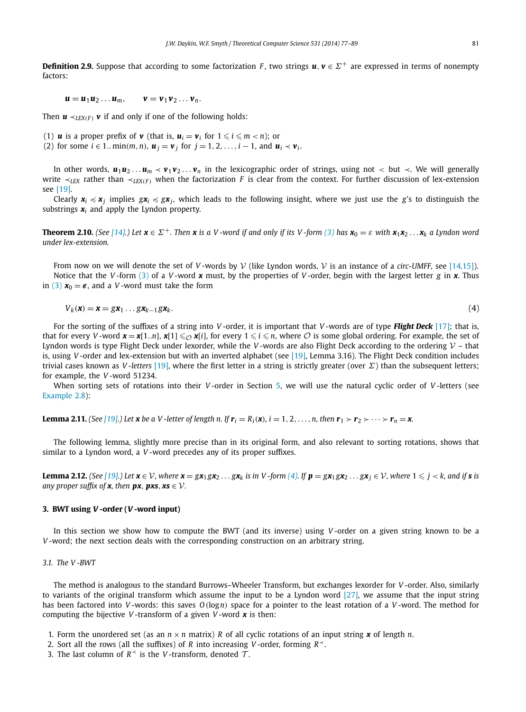<span id="page-5-0"></span>**Definition 2.9.** Suppose that according to some factorization *F*, two strings  $u, v \in \Sigma^+$  are expressed in terms of nonempty factors:

$$
\boldsymbol{u} = \boldsymbol{u}_1 \boldsymbol{u}_2 \ldots \boldsymbol{u}_m, \qquad \boldsymbol{v} = \boldsymbol{v}_1 \boldsymbol{v}_2 \ldots \boldsymbol{v}_n.
$$

Then  $\mathbf{u} \prec_{L\mathbf{F}X(F)} \mathbf{v}$  if and only if one of the following holds:

(1) **u** is a proper prefix of **v** (that is,  $u_i = v_i$  for  $1 \leq i \leq m < n$ ); or

(2) for some  $i \in 1$ *..* min $(m, n)$ ,  $u_i = v_i$  for  $j = 1, 2, ..., i - 1$ , and  $u_i \prec v_i$ .

In other words,  $u_1u_2...u_m$  ≺  $v_1v_2...v_n$  in the lexicographic order of strings, using not < but  $\prec$ . We will generally write  $\prec$ <sub>*LEX*</sub> rather than  $\prec$ <sub>*LEX*(*F*) when the factorization *F* is clear from the context. For further discussion of lex-extension</sub> see [\[19\].](#page-13-0)

Clearly  $x_i \preccurlyeq x_j$  implies  $gx_i \preccurlyeq gx_j$ , which leads to the following insight, where we just use the *g*'s to distinguish the substrings  $x_i$  and apply the Lyndon property.

**Theorem 2.10.** (See [\[14\].](#page-13-0)) Let  $\mathbf{x} \in \Sigma^{+}$ . Then  $\mathbf{x}$  is a V-word if and only if its V-form [\(3\)](#page-4-0) has  $\mathbf{x}_0 = \varepsilon$  with  $\mathbf{x}_1 \mathbf{x}_2 \dots \mathbf{x}_k$  a Lyndon word *under lex-extension.*

From now on we will denote the set of *V* -words by V (like Lyndon words, V is an instance of a *circ-UMFF*, see [\[14,15\]\)](#page-13-0). Notice that the *V* -form [\(3\)](#page-4-0) of a *V* -word *x* must, by the properties of *V* -order, begin with the largest letter *g* in *x*. Thus in [\(3\)](#page-4-0)  $x_0 = \varepsilon$ , and a *V*-word must take the form

$$
V_k(\mathbf{x}) = \mathbf{x} = g\mathbf{x}_1 \dots g\mathbf{x}_{k-1} g\mathbf{x}_k. \tag{4}
$$

For the sorting of the suffixes of a string into *V* -order, it is important that *V* -words are of type *Flight Deck* [\[17\];](#page-13-0) that is, that for every *V* -word  $\mathbf{x} = \mathbf{x}[1..n]$ ,  $\mathbf{x}[1] \leq \mathcal{O}(\mathbf{x}[i])$ , for every  $1 \leq i \leq n$ , where  $\mathcal{O}$  is some global ordering. For example, the set of Lyndon words is type Flight Deck under lexorder, while the *V*-words are also Flight Deck according to the ordering  $V$  – that is, using *V* -order and lex-extension but with an inverted alphabet (see [\[19\],](#page-13-0) Lemma 3.16). The Flight Deck condition includes trivial cases known as *V -letters* [\[19\],](#page-13-0) where the first letter in a string is strictly greater (over *Σ*) than the subsequent letters; for example, the *V* -word 51234.

When sorting sets of rotations into their *V* -order in Section [5,](#page-10-0) we will use the natural cyclic order of *V* -letters (see [Example 2.8\)](#page-4-0):

**Lemma 2.11.** (See [\[19\].](#page-13-0)) Let **x** be a V-letter of length n. If  $\mathbf{r}_i = R_i(\mathbf{x})$ ,  $i = 1, 2, ..., n$ , then  $\mathbf{r}_1 > \mathbf{r}_2 > \cdots > \mathbf{r}_n = \mathbf{x}$ .

The following lemma, slightly more precise than in its original form, and also relevant to sorting rotations, shows that similar to a Lyndon word, a *V* -word precedes any of its proper suffixes.

**Lemma 2.12.** (See [\[19\].](#page-13-0)) Let  $x \in V$ , where  $x = gx_1gx_2 \ldots gx_k$  is in V-form (4). If  $p = gx_1gx_2 \ldots gx_j \in V$ , where  $1 \leq j < k$ , and if s is *any proper suffix of x*, then *px*, *pxs*,  $xs \in V$ .

#### **3. BWT using** *V* **-order (***V* **-word input)**

In this section we show how to compute the BWT (and its inverse) using *V* -order on a given string known to be a *V* -word; the next section deals with the corresponding construction on an arbitrary string.

#### *3.1. The V -BWT*

The method is analogous to the standard Burrows–Wheeler Transform, but exchanges lexorder for *V* -order. Also, similarly to variants of the original transform which assume the input to be a Lyndon word  $[27]$ , we assume that the input string has been factored into *V* -words: this saves *O(*log*n)* space for a pointer to the least rotation of a *V* -word. The method for computing the bijective *V* -transform of a given *V* -word *x* is then:

- 1. Form the unordered set (as an  $n \times n$  matrix) *R* of all cyclic rotations of an input string **x** of length *n*.
- 2. Sort all the rows (all the suffixes) of *R* into increasing *V*-order, forming  $R^{\prec}$ .
- 3. The last column of  $R<sup>+</sup>$  is the *V*-transform, denoted  $T$ .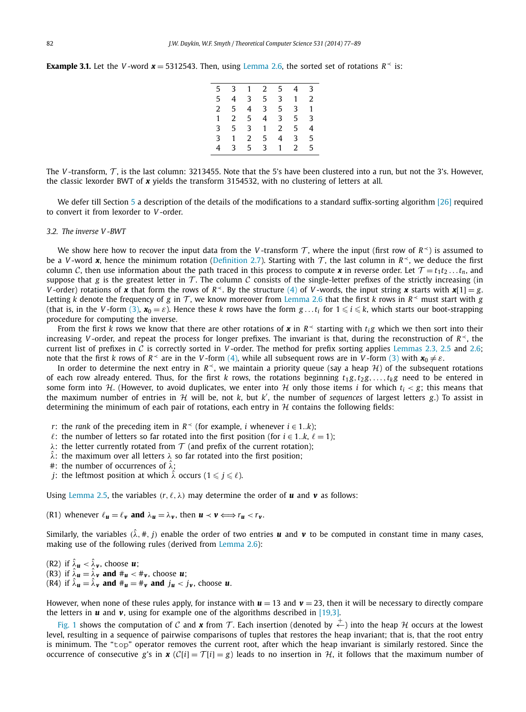<span id="page-6-0"></span>**Example 3.1.** Let the *V* -word  $x = 5312543$ . Then, using [Lemma 2.6,](#page-4-0) the sorted set of rotations  $R \leq 1$  is:

| 5              |              |                | 3 1 2 5   |                |       | $4 \quad 3$     |
|----------------|--------------|----------------|-----------|----------------|-------|-----------------|
| 5              |              |                | 4 3 5     |                | 3 1 2 |                 |
| $\overline{2}$ | 5            |                |           |                |       |                 |
| $\mathbf{1}$   |              | 2 <sub>5</sub> |           | $4$ 3 5 3      |       |                 |
| 3              |              |                | 5 3 1 2 5 |                |       | 4               |
| $\mathbf{3}$   | $1 \quad$    | $\overline{2}$ | 5         | $\overline{4}$ |       | 3 <sub>5</sub>  |
| 4              | $\mathbf{3}$ | 5 <sup>1</sup> |           | 3 1 2          |       | $5\phantom{.0}$ |

The *V*-transform,  $T$ , is the last column: 3213455. Note that the 5's have been clustered into a run, but not the 3's. However, the classic lexorder BWT of *x* yields the transform 3154532, with no clustering of letters at all.

We defer till Section [5](#page-10-0) a description of the details of the modifications to a standard suffix-sorting algorithm [\[26\]](#page-13-0) required to convert it from lexorder to *V* -order.

#### *3.2. The inverse V -BWT*

We show here how to recover the input data from the *V*-transform T, where the input (first row of  $R^{\prec}$ ) is assumed to be a *V*-word **x**, hence the minimum rotation [\(Definition 2.7\)](#page-4-0). Starting with T, the last column in  $R$ , we deduce the first column C, then use information about the path traced in this process to compute **x** in reverse order. Let  $\mathcal{T} = t_1 t_2 \dots t_n$ , and suppose that *g* is the greatest letter in  $T$ . The column C consists of the single-letter prefixes of the strictly increasing (in *V*-order) rotations of *x* that form the rows of  $R<sup>2</sup>$ . By the structure [\(4\)](#page-5-0) of *V*-words, the input string *x* starts with *x*[1] = *g*. Letting *k* denote the frequency of *g* in  $\tau$ , we know moreover from [Lemma 2.6](#page-4-0) that the first *k* rows in  $R<sup>1</sup>$  must start with *g* (that is, in the *V*-form [\(3\),](#page-4-0)  $x_0 = \varepsilon$ ). Hence these *k* rows have the form  $g \dots t_i$  for  $1 \leqslant i \leqslant k$ , which starts our boot-strapping procedure for computing the inverse.

From the first *k* rows we know that there are other rotations of **x** in  $R<sup>×</sup>$  starting with  $t<sub>i</sub>g$  which we then sort into their increasing *V* -order, and repeat the process for longer prefixes. The invariant is that, during the reconstruction of *R*≺, the current list of prefixes in  $C$  is correctly sorted in *V*-order. The method for prefix sorting applies [Lemmas 2.3, 2.5](#page-3-0) and [2.6;](#page-4-0) note that the first *k* rows of  $R^{\prec}$  are in the *V*-form [\(4\),](#page-5-0) while all subsequent rows are in *V*-form [\(3\)](#page-4-0) with  $x_0 \neq \varepsilon$ .

In order to determine the next entry in  $R<sup>1</sup>$ , we maintain a priority queue (say a heap H) of the subsequent rotations of each row already entered. Thus, for the first *k* rows, the rotations beginning  $t_1 g, t_2 g, \ldots, t_k g$  need to be entered in some form into H. (However, to avoid duplicates, we enter into H only those items *i* for which  $t_i < g$ ; this means that the maximum number of entries in  $H$  will be, not  $k$ , but  $k'$ , the number of *sequences* of largest letters  $g$ .) To assist in determining the minimum of each pair of rotations, each entry in  $H$  contains the following fields:

- *r*: the *rank* of the preceding item in  $R$  (for example, *i* whenever  $i \in 1..k$ );
- $\ell$ : the number of letters so far rotated into the first position (for  $i \in 1..k$ ,  $\ell = 1$ );
- *λ*: the letter currently rotated from  $\tau$  (and prefix of the current rotation);
- *λ*ˆ: the maximum over all letters *λ* so far rotated into the first position;
- #: the number of occurrences of *λ*ˆ;
- *j*: the leftmost position at which  $\hat{\lambda}$  occurs ( $1 \leqslant j \leqslant \ell$ ).

Using [Lemma](#page-3-0) 2.5, the variables  $(r, \ell, \lambda)$  may determine the order of **u** and **v** as follows:

(R1) whenever  $\ell_{\mathbf{u}} = \ell_{\mathbf{v}}$  and  $\lambda_{\mathbf{u}} = \lambda_{\mathbf{v}}$ , then  $\mathbf{u} \prec \mathbf{v} \Longleftrightarrow r_{\mathbf{u}} < r_{\mathbf{v}}$ .

Similarly, the variables  $(\hat{\lambda}, \#, j)$  enable the order of two entries **u** and **v** to be computed in constant time in many cases, making use of the following rules (derived from [Lemma 2.6\)](#page-4-0):

(R2) if  $\hat{\lambda}_u < \hat{\lambda}_v$ , choose *u*; (R3) if  $\hat{\lambda}_u = \hat{\lambda}_v$  and  $\mu_u < \mu_v$ , choose *u*; (R4) if  $\hat{\lambda}_u = \hat{\lambda}_v$  and  $\mu = \mu_v$  and  $j_u < j_v$ , choose *u*.

However, when none of these rules apply, for instance with  $u = 13$  and  $v = 23$ , then it will be necessary to directly compare the letters in  $\boldsymbol{u}$  and  $\boldsymbol{v}$ , using for example one of the algorithms described in [\[19,3\].](#page-13-0)

[Fig. 1](#page-7-0) shows the computation of C and **x** from T. Each insertion (denoted by  $\stackrel{+}{\leftarrow}$ ) into the heap H occurs at the lowest level, resulting in a sequence of pairwise comparisons of tuples that restores the heap invariant; that is, that the root entry is minimum. The "top" operator removes the current root, after which the heap invariant is similarly restored. Since the occurrence of consecutive *g*'s in *x* ( $C[i] = T[i] = g$ ) leads to no insertion in H, it follows that the maximum number of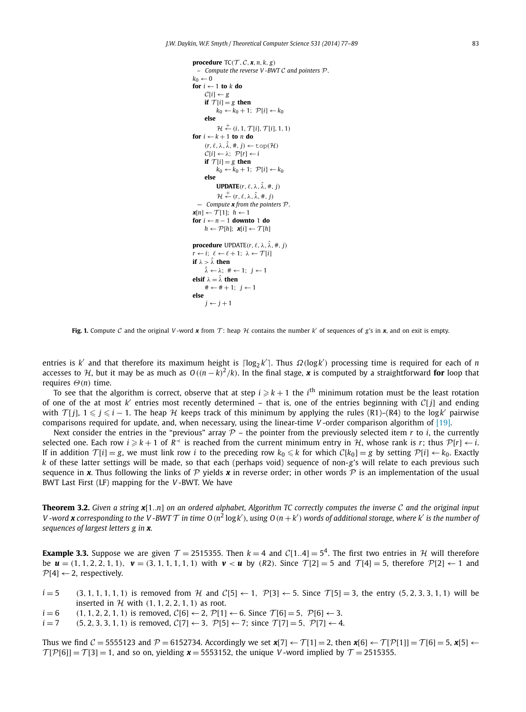```
procedure TC(\mathcal{T}, \mathcal{C}, \mathbf{x}, n, k, g)– Compute the reverse V -BWT C and pointers P.
k_0 \leftarrow 0for i \leftarrow 1 to k do
       C[i] \leftarrow \varphiif \mathcal{T}[i] = g then
               k_0 \leftarrow k_0 + 1; \mathcal{P}[i] \leftarrow k_0else
                 \mathcal{H} \stackrel{+}{\leftarrow} (i, 1, \mathcal{T}[i], \mathcal{T}[i], 1, 1)
for i \leftarrow k + 1 to n do
       (r, \ell, \lambda, \hat{\lambda}, \text{#}, j) \leftarrow \text{top}(\mathcal{H})\mathcal{C}[i] \leftarrow \lambda; \ \mathcal{P}[r] \leftarrow iif \mathcal{T}[i] = g then
               k_0 ← k_0 + 1; \mathcal{P}[i] ← k_0else
               UPDATE(r, \ell, \lambda, \hat{\lambda}, \hat{\tau})\mathcal{H} \stackrel{+}{\leftarrow} (r, \ell, \lambda, \hat{\lambda}, \#, j)— Compute x from the pointers P.
x[n] \leftarrow \overline{T}[1]; h \leftarrow 1for i ←n − 1 downto 1 do
       h \leftarrow \mathcal{P}[h]; \mathbf{x}[i] \leftarrow \mathcal{T}[h]procedure UPDATE(r, \ell, \lambda, \hat{\lambda}, \#, i)r \leftarrow i; \ell \leftarrow \ell + 1; \lambda \leftarrow \mathcal{T}[i]if λ > λˆ then
       λˆ ← λ; # ← 1; j ← 1
elsif \lambda = \hat{\lambda} then
       \# \leftarrow \# + 1; j \leftarrow 1else
       j \leftarrow j + 1
```
**Fig. 1.** Compute C and the original V-word x from T: heap H contains the number  $k'$  of sequences of g's in x, and on exit is empty.

entries is *<sup>k</sup>* and that therefore its maximum height is log2 *<sup>k</sup>* . Thus *Ω(*log*k )* processing time is required for each of *n* accesses to  $H$ , but it may be as much as  $O((n-k)^2/k)$ . In the final stage, x is computed by a straightforward **for** loop that requires *Θ(n)* time.

To see that the algorithm is correct, observe that at step  $i \geqslant k+1$  the  $i^{\text{th}}$  minimum rotation must be the least rotation of one of the at most *<sup>k</sup>* entries most recently determined – that is, one of the entries beginning with <sup>C</sup>[*j*] and ending with  $\mathcal{T}[j]$ ,  $1 \leq j \leq i-1$ . The heap  $\mathcal H$  keeps track of this minimum by applying the rules (R1)–(R4) to the log*k*<sup>'</sup> pairwise comparisons required for update, and, when necessary, using the linear-time *V* -order comparison algorithm of [\[19\].](#page-13-0)

Next consider the entries in the "previous" array  $P$  – the pointer from the previously selected item  $r$  to  $i$ , the currently selected one. Each row  $i \geq k + 1$  of  $R \leq k$  is reached from the current minimum entry in H, whose rank is *r*; thus  $\mathcal{P}[r] \leftarrow i$ . If in addition  $\mathcal{T}[i] = g$ , we must link row *i* to the preceding row  $k_0 \leq k$  for which  $\mathcal{C}[k_0] = g$  by setting  $\mathcal{P}[i] \leftarrow k_0$ . Exactly *k* of these latter settings will be made, so that each (perhaps void) sequence of non-*g*'s will relate to each previous such sequence in **x**. Thus following the links of P yields **x** in reverse order; in other words P is an implementation of the usual BWT Last First (LF) mapping for the *V* -BWT. We have

**Theorem 3.2.** *Given a string <sup>x</sup>*[1*..n*] *on an ordered alphabet, Algorithm TC correctly computes the inverse* C *and the original input* V -word **x** corresponding to the V -BWT  $T$  in time  $O(n^2 \log k')$ , using  $O(n+k')$  words of additional storage, where k' is the number of *sequences of largest letters g in x.*

**Example 3.3.** Suppose we are given  $T = 2515355$ . Then  $k = 4$  and  $C[1..4] = 5<sup>4</sup>$ . The first two entries in H will therefore be  $u = (1, 1, 2, 2, 1, 1)$ ,  $v = (3, 1, 1, 1, 1, 1)$  with  $v < u$  by (R2). Since  $\mathcal{T}[2] = 5$  and  $\mathcal{T}[4] = 5$ , therefore  $\mathcal{P}[2] \leftarrow 1$  and  $\mathcal{P}[4] \leftarrow 2$ , respectively.

- $i=5$  (3, 1, 1, 1, 1, 1) is removed from H and C[5]  $\leftarrow$  1, P[3]  $\leftarrow$  5. Since T[5] = 3, the entry (5, 2, 3, 3, 1, 1) will be inserted in  $H$  with  $(1, 1, 2, 2, 1, 1)$  as root.
- *i* = 6 *(*1*,* 1*,* 2*,* 2*,* 1*,* 1*)* is removed, C[6] ← 2, P[1] ← 6. Since  $T[6] = 5$ , P[6] ← 3. *i* = 7 *(*5*,* 2*,* 3*,* 3*,* 1*,* 1*)* is removed, C[7] ← 3, P[5] ← 7; since  $T[7] = 5$ , P[7] ← 4.
- $(5, 2, 3, 3, 1, 1)$  is removed,  $C[7]$  ← 3*,*  $P[5]$  ← 7; since  $T[7] = 5$ ,  $P[7]$  ← 4.

Thus we find  $C = 5555123$  and  $P = 6152734$ . Accordingly we set  $\mathbf{x}[7] \leftarrow T[1] = 2$ , then  $\mathbf{x}[6] \leftarrow T[P[1]] = T[6] = 5$ ,  $\mathbf{x}[5] \leftarrow$  $T[P[6]] = T[3] = 1$ , and so on, yielding  $x = 5553152$ , the unique *V*-word implied by  $T = 2515355$ .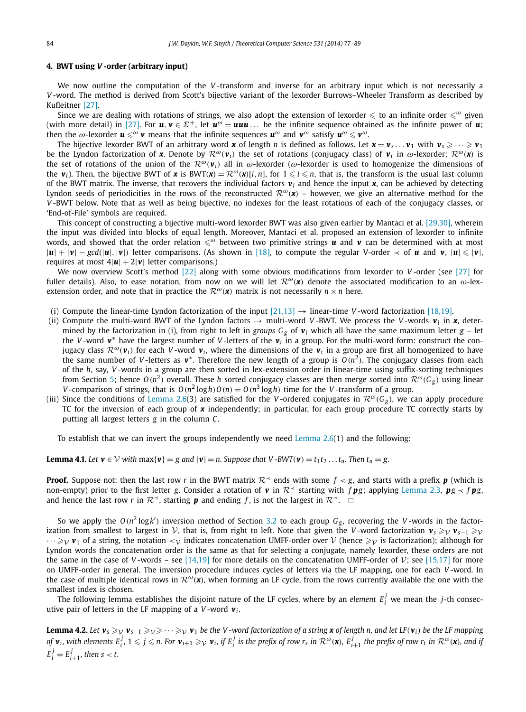#### <span id="page-8-0"></span>**4. BWT using** *V* **-order (arbitrary input)**

We now outline the computation of the *V* -transform and inverse for an arbitrary input which is not necessarily a *V* -word. The method is derived from Scott's bijective variant of the lexorder Burrows–Wheeler Transform as described by Kufleitner [\[27\].](#page-13-0)

Since we are dealing with rotations of strings, we also adopt the extension of lexorder  $\leqslant$  to an infinite order  $\leqslant^\omega$  given (with more detail) in [\[27\].](#page-13-0) For  $u, v \in \Sigma^+$ , let  $u^{\omega} = u u u$ ... be the infinite sequence obtained as the infinite power of *u*; then the  $\omega$ -lexorder  $\bm{u} \leqslant^{\omega} \bm{v}$  means that the infinite sequences  $\bm{u}^{\omega}$  and  $\bm{v}^{\omega}$  satisfy  $\bm{u}^{\omega} \leqslant \bm{v}^{\omega}$ .

The bijective lexorder BWT of an arbitrary word **x** of length *n* is defined as follows. Let  $\mathbf{x} = \mathbf{v}_s \dots \mathbf{v}_1$  with  $\mathbf{v}_s \geq \dots \geq \mathbf{v}_1$ be the Lyndon factorization of **x**. Denote by  $\mathcal{R}^{\omega}(\mathbf{v}_i)$  the set of rotations (conjugacy class) of  $\mathbf{v}_i$  in  $\omega$ -lexorder;  $\mathcal{R}^{\omega}(\mathbf{x})$  is the set of rotations of the union of the  $\mathcal{R}^{\omega}(v_i)$  all in  $\omega$ -lexorder ( $\omega$ -lexorder is used to homogenize the dimensions of the *v*<sub>*i*</sub>). Then, the bijective BWT of *x* is BWT(*x*) =  $\mathcal{R}^{\omega}(\mathbf{x})[i, n]$ , for  $1 \le i \le n$ , that is, the transform is the usual last column of the BWT matrix. The inverse, that recovers the individual factors  $v_i$  and hence the input  $x$ , can be achieved by detecting Lyndon seeds of periodicities in the rows of the reconstructed  $\mathcal{R}^{\omega}(\mathbf{x})$  – however, we give an alternative method for the *V* -BWT below. Note that as well as being bijective, no indexes for the least rotations of each of the conjugacy classes, or 'End-of-File' symbols are required.

This concept of constructing a bijective multi-word lexorder BWT was also given earlier by Mantaci et al. [\[29,30\],](#page-13-0) wherein the input was divided into blocks of equal length. Moreover, Mantaci et al. proposed an extension of lexorder to infinite words, and showed that the order relation  $\leq^{\omega}$  between two primitive strings **u** and **v** can be determined with at most  $|u| + |v| - gcd(|u|, |v|)$  letter comparisons. (As shown in [\[18\],](#page-13-0) to compute the regular V-order  $\prec$  of *u* and *v*, |*u*| ≤ |*v*|, requires at most  $4|\mathbf{u}| + 2|\mathbf{v}|$  letter comparisons.)

We now overview Scott's method [\[22\]](#page-13-0) along with some obvious modifications from lexorder to *V* -order (see [\[27\]](#page-13-0) for fuller details). Also, to ease notation, from now on we will let  $\mathcal{R}^{\omega}(\mathbf{x})$  denote the associated modification to an  $\omega$ -lexextension order, and note that in practice the  $\mathcal{R}^{\omega}(\mathbf{x})$  matrix is not necessarily  $n \times n$  here.

- (i) Compute the linear-time Lyndon factorization of the input  $[21,13] \rightarrow$  $[21,13] \rightarrow$  linear-time *V* -word factorization [\[18,19\].](#page-13-0)
- (ii) Compute the multi-word BWT of the Lyndon factors  $\rightarrow$  multi-word *V*-BWT. We process the *V*-words  $v_i$  in **x**, determined by the factorization in (i), from right to left in *groups*  $G_g$  of  $v_i$  which all have the same maximum letter  $g$  – let the *<sup>V</sup>* -word *<sup>v</sup>*<sup>∗</sup> have the largest number of *<sup>V</sup>* -letters of the *<sup>v</sup><sup>i</sup>* in a group. For the multi-word form: construct the conjugacy class  $\mathcal{R}^{\omega}(v_i)$  for each *V*-word  $v_i$ , where the dimensions of the  $v_i$  in a group are first all homogenized to have the same number of *V*-letters as  $v^*$ . Therefore the new length of a group is  $O(n^2)$ . The conjugacy classes from each of the *h*, say, *V* -words in a group are then sorted in lex-extension order in linear-time using suffix-sorting techniques from Section [5;](#page-10-0) hence  $O(n^2)$  overall. These *h* sorted conjugacy classes are then merge sorted into  $\mathcal{R}^{\omega}(G_g)$  using linear *V*-comparison of strings, that is  $O(n^2 \log h) O(n) = O(n^3 \log h)$  time for the *V*-transform of a group.
- (iii) Since the conditions of [Lemma](#page-4-0) 2.6(3) are satisfied for the *V*-ordered conjugates in  $\mathcal{R}^{\omega}(G_g)$ , we can apply procedure TC for the inversion of each group of *x* independently; in particular, for each group procedure TC correctly starts by putting all largest letters *g* in the column *C*.

To establish that we can invert the groups independently we need [Lemma](#page-4-0) 2.6(1) and the following:

#### **Lemma 4.1.** Let  $\mathbf{v} \in \mathcal{V}$  with max{ $\mathbf{v}$ } = *g* and  $|\mathbf{v}|$  = *n.* Suppose that V-BWT( $\mathbf{v}$ ) =  $t_1t_2...t_n$ . Then  $t_n = g$ .

**Proof.** Suppose not; then the last row *r* in the BWT matrix  $\mathcal{R}^{\prec}$  ends with some  $f < g$ , and starts with a prefix *p* (which is non-empty) prior to the first letter *g*. Consider a rotation of *v* in  $\mathcal{R}$  starting with *f pg*; applying [Lemma 2.3,](#page-3-0) *pg*  $\prec$  *f pg*, and hence the last row *r* in  $\mathcal{R}^{\prec}$ , starting *p* and ending *f*, is not the largest in  $\mathcal{R}^{\prec}$ .  $\Box$ 

So we apply the  $O(n^2 \log k')$  inversion method of Section [3.2](#page-6-0) to each group  $G_g$ , recovering the *V*-words in the factorization from smallest to largest in V, that is, from right to left. Note that given the *V*-word factorization  $v_s \geq v v_{s-1} \geq v$  $\cdots \geq_{\mathcal{V}} v_1$  of a string, the notation  $\lt_{\mathcal{V}}$  indicates concatenation UMFF-order over  $\mathcal{V}$  (hence  $\geq_{\mathcal{V}}$  is factorization); although for Lyndon words the concatenation order is the same as that for selecting a conjugate, namely lexorder, these orders are not the same in the case of *V*-words – see [\[14,19\]](#page-13-0) for more details on the concatenation UMFF-order of  $V$ ; see [\[15,17\]](#page-13-0) for more on UMFF-order in general. The inversion procedure induces cycles of letters via the LF mapping, one for each *V* -word. In the case of multiple identical rows in  $\mathcal{R}^{\omega}(\mathbf{x})$ , when forming an LF cycle, from the rows currently available the one with the smallest index is chosen.

The following lemma establishes the disjoint nature of the LF cycles, where by an *element*  $E_i^j$  we mean the *j*-th consecutive pair of letters in the LF mapping of a *V*-word  $v_i$ .

**Lemma 4.2.** Let  $\mathbf{v}_s \geq v \mathbf{v}_{s-1} \geq v \geq v \cdot v_1$  be the V-word factorization of a string **x** of length n, and let LF( $\mathbf{v}_i$ ) be the LF mapping of  $\bm{v}_i$ , with elements  $E_i^j$ ,  $1\leqslant j\leqslant n$ . For  $\bm{v}_{i+1}\geqslant_\mathcal{V}\bm{v}_i$ , if  $E_i^j$  is the prefix of row  $r_s$  in  $\mathcal{R}^\omega(\bm{x})$ ,  $E_{i+1}^j$  the prefix of row  $r_t$  in  $\mathcal{R}^\omega(\bm{x})$ , and ij  $E_i^j = E_{i+1}^j$ , then s < t.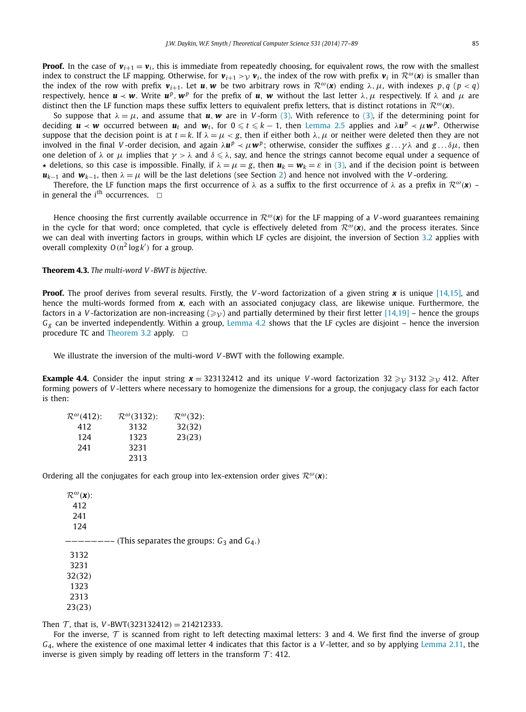**Proof.** In the case of  $v_{i+1} = v_i$ , this is immediate from repeatedly choosing, for equivalent rows, the row with the smallest index to construct the LF mapping. Otherwise, for  $v_{i+1} > v_i$ , the index of the row with prefix  $v_i$  in  $\mathcal{R}^{\omega}(\mathbf{x})$  is smaller than the index of the row with prefix  $v_{i+1}$ . Let  $u, w$  be two arbitrary rows in  $\mathcal{R}^{\omega}(x)$  ending  $\lambda, \mu$ , with indexes  $p, q \ (p < q)$ respectively, hence  $u \prec w$ . Write  $u^p$ ,  $w^p$  for the prefix of *u*, *w* without the last letter  $\lambda$ , *μ* respectively. If  $\lambda$  and *μ* are distinct then the LF function maps these suffix letters to equivalent prefix letters, that is distinct rotations in  $\mathcal{R}^{\omega}(\mathbf{x})$ .

So suppose that  $\lambda = \mu$ , and assume that **u**, **w** are in V-form [\(3\).](#page-4-0) With reference to [\(3\),](#page-4-0) if the determining point for deciding  $u \prec w$  occurred between  $u_t$  and  $w_t$ , for  $0 \leqslant t \leqslant k-1$ , then [Lemma 2.5](#page-3-0) applies and  $\lambda u^p \prec \mu w^p$ . Otherwise suppose that the decision point is at  $t = k$ . If  $\lambda = \mu < g$ , then if either both  $\lambda, \mu$  or neither were deleted then they are not involved in the final *V*-order decision, and again  $\lambda$ *u*<sup>*p*</sup>  $\prec$  *μ***w**<sup>*p*</sup>; otherwise, consider the suffixes *g* ... *γ*λ and *g* ...*δμ*, then one deletion of  $\lambda$  or  $\mu$  implies that  $\gamma>\lambda$  and  $\delta\leqslant\lambda$ , say, and hence the strings cannot become equal under a sequence of  $\star$  deletions, so this case is impossible. Finally, if  $\lambda = \mu = g$ , then  $u_k = w_k = \varepsilon$  in [\(3\),](#page-4-0) and if the decision point is between  $u_{k-1}$  and  $w_{k-1}$ , then  $\lambda = \mu$  will be the last deletions (see Section [2\)](#page-2-0) and hence not involved with the *V*-ordering.

Therefore, the LF function maps the first occurrence of  $\lambda$  as a suffix to the first occurrence of  $\lambda$  as a prefix in  $\mathcal{R}^{\omega}(\mathbf{x})$  – in general the  $i^{\text{th}}$  occurrences.  $\Box$ 

Hence choosing the first currently available occurrence in  $\mathcal{R}^{\omega}(\mathbf{x})$  for the LF mapping of a *V*-word guarantees remaining in the cycle for that word; once completed, that cycle is effectively deleted from  $\mathcal{R}^{\omega}(\mathbf{x})$ , and the process iterates. Since we can deal with inverting factors in groups, within which LF cycles are disjoint, the inversion of Section [3.2](#page-6-0) applies with overall complexity  $O(n^2 \log k')$  for a group.

**Theorem 4.3.** *The multi-word V -BWT is bijective.*

**Proof.** The proof derives from several results. Firstly, the *V* -word factorization of a given string *x* is unique [\[14,15\],](#page-13-0) and hence the multi-words formed from **x**, each with an associated conjugacy class, are likewise unique. Furthermore, the factors in a *V*-factorization are non-increasing  $(\geq_{V})$  and partially determined by their first letter [\[14,19\]](#page-13-0) – hence the groups *Gg* can be inverted independently. Within a group, [Lemma 4.2](#page-8-0) shows that the LF cycles are disjoint – hence the inversion procedure TC and [Theorem 3.2](#page-7-0) apply.  $\Box$ 

We illustrate the inversion of the multi-word *V* -BWT with the following example.

**Example 4.4.** Consider the input string  $x = 323132412$  and its unique *V*-word factorization  $32 \ge y 3132 \ge y 412$ . After forming powers of *V* -letters where necessary to homogenize the dimensions for a group, the conjugacy class for each factor is then:

| $\mathcal{R}^{\omega}(412)$ : | $\mathcal{R}^{\omega}(3132)$ : | $\mathcal{R}^{\omega}(32)$ : |
|-------------------------------|--------------------------------|------------------------------|
| 412                           | 3132                           | 32(32)                       |
| 124                           | 1323                           | 23(23)                       |
| 241                           | 3231                           |                              |
|                               | 2313                           |                              |

Ordering all the conjugates for each group into lex-extension order gives  $\mathcal{R}^{\omega}(\mathbf{x})$ :

| $\mathcal{R}^{\omega}(\mathbf{x})$ : |                                                    |
|--------------------------------------|----------------------------------------------------|
| 412                                  |                                                    |
| 241                                  |                                                    |
| 124                                  |                                                    |
|                                      | $-$ (This separates the groups: $G_3$ and $G_4$ .) |
| 3132                                 |                                                    |
| 3231                                 |                                                    |
| 32(32)                               |                                                    |
| 1323                                 |                                                    |
| 2313                                 |                                                    |
| 23(23)                               |                                                    |

Then  $\mathcal{T}$ , that is, *V*-BWT(323132412) = 214212333.

For the inverse,  $\tau$  is scanned from right to left detecting maximal letters: 3 and 4. We first find the inverse of group *G*4, where the existence of one maximal letter 4 indicates that this factor is a *V* -letter, and so by applying [Lemma 2.11,](#page-5-0) the inverse is given simply by reading off letters in the transform  $\mathcal{T}$ : 412.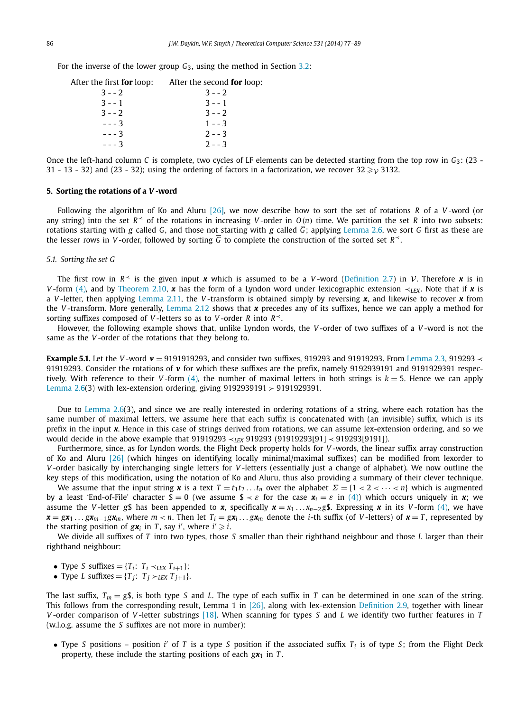<span id="page-10-0"></span>For the inverse of the lower group *G*3, using the method in Section [3.2:](#page-6-0)

| After the first <b>for</b> loop: | After the second <b>for</b> loop: |
|----------------------------------|-----------------------------------|
| $3 - -2$                         | $3 - -2$                          |
| $3 - - 1$                        | $3 - - 1$                         |
| $3 - -2$                         | $3 - -2$                          |
| $- - - 3$                        | $1 - -3$                          |
| $--3$                            | $2 - -3$                          |
| $- - - 3$                        | $2 - -3$                          |

Once the left-hand column *C* is complete, two cycles of LF elements can be detected starting from the top row in *G*3: (23 - 31 - 13 - 32) and (23 - 32); using the ordering of factors in a factorization, we recover  $32 \geq v$  3132.

#### **5. Sorting the rotations of a** *V* **-word**

Following the algorithm of Ko and Aluru [\[26\],](#page-13-0) we now describe how to sort the set of rotations *R* of a *V* -word (or any string) into the set  $R \leq 0$  f the rotations in increasing *V*-order in  $O(n)$  time. We partition the set *R* into two subsets: rotations starting with *g* called *G*, and those not starting with *g* called  $\overline{G}$ ; applying [Lemma 2.6,](#page-4-0) we sort *G* first as these are the lesser rows in *V*-order, followed by sorting  $\overline{G}$  to complete the construction of the sorted set  $R^2$ .

#### *5.1. Sorting the set G*

The first row in  $R^{\prec}$  is the given input **x** which is assumed to be a *V*-word [\(Definition 2.7\)](#page-4-0) in *V*. Therefore **x** is in *V* -form [\(4\),](#page-5-0) and by [Theorem 2.10,](#page-5-0) *x* has the form of a Lyndon word under lexicographic extension ≺*LEX*. Note that if *x* is a *V* -letter, then applying [Lemma 2.11,](#page-5-0) the *V* -transform is obtained simply by reversing *x*, and likewise to recover *x* from the *V* -transform. More generally, [Lemma 2.12](#page-5-0) shows that *x* precedes any of its suffixes, hence we can apply a method for sorting suffixes composed of *V* -letters so as to *V* -order *R* into *R*≺.

However, the following example shows that, unlike Lyndon words, the *V* -order of two suffixes of a *V* -word is not the same as the *V* -order of the rotations that they belong to.

**Example 5.1.** Let the *V* -word *v* = 9191919293, and consider two suffixes, 919293 and 91919293. From [Lemma 2.3,](#page-3-0) 919293 ≺ 91919293. Consider the rotations of *v* for which these suffixes are the prefix, namely 9192939191 and 9191929391 respectively. With reference to their *V* -form  $(4)$ , the number of maximal letters in both strings is  $k = 5$ . Hence we can apply [Lemma 2.6\(](#page-4-0)3) with lex-extension ordering, giving  $9192939191 > 9191929391$ .

Due to [Lemma](#page-4-0) 2.6(3), and since we are really interested in ordering rotations of a string, where each rotation has the same number of maximal letters, we assume here that each suffix is concatenated with (an invisible) suffix, which is its prefix in the input *x*. Hence in this case of strings derived from rotations, we can assume lex-extension ordering, and so we would decide in the above example that 91919293 ≺*LEX* 919293 (91919293[91] ≺ 919293[9191]).

Furthermore, since, as for Lyndon words, the Flight Deck property holds for *V* -words, the linear suffix array construction of Ko and Aluru [\[26\]](#page-13-0) (which hinges on identifying locally minimal/maximal suffixes) can be modified from lexorder to *V* -order basically by interchanging single letters for *V* -letters (essentially just a change of alphabet). We now outline the key steps of this modification, using the notation of Ko and Aluru, thus also providing a summary of their clever technique.

We assume that the input string **x** is a text  $T = t_1 t_2 \dots t_n$  over the alphabet  $\Sigma = \{1 < 2 < \dots < n\}$  which is augmented by a least 'End-of-File' character  $\oint = 0$  (we assume  $\oint \prec \varepsilon$  for the case  $x_i = \varepsilon$  in [\(4\)\)](#page-5-0) which occurs uniquely in **x**; we assume the *V*-letter *g*\$ has been appended to *x*, specifically  $x = x_1 \dots x_{n-2} g$ \$. Expressing *x* in its *V*-form [\(4\),](#page-5-0) we have  $\mathbf{x} = g\mathbf{x}_1 \dots g\mathbf{x}_{m-1} g\mathbf{x}_m$ , where  $m < n$ . Then let  $T_i = g\mathbf{x}_i \dots g\mathbf{x}_m$  denote the *i*-th suffix (of *V*-letters) of  $\mathbf{x} = T$ , represented by the starting position of  $g\mathbf{x}_i$  in *T*, say *i'*, where  $i' \geq i$ .

We divide all suffixes of *T* into two types, those *S* smaller than their righthand neighbour and those *L* larger than their righthand neighbour:

- Type *S* suffixes = {*Ti*: *Ti* ≺*LEX Ti*+1};
- Type *L* suffixes =  $\{T_i: T_i \succ_{LEX} T_{i+1}\}.$

The last suffix,  $T_m = g\$ , is both type *S* and *L*. The type of each suffix in *T* can be determined in one scan of the string. This follows from the corresponding result, Lemma 1 in [\[26\],](#page-13-0) along with lex-extension [Definition 2.9,](#page-5-0) together with linear *V* -order comparison of *V* -letter substrings [\[18\].](#page-13-0) When scanning for types *S* and *L* we identify two further features in *T* (w.l.o.g. assume the *S* suffixes are not more in number):

• Type *S* positions – position *i'* of *T* is a type *S* position if the associated suffix  $T_i$  is of type *S*; from the Flight Deck property, these include the starting positions of each  $gx_1$  in  $T$ .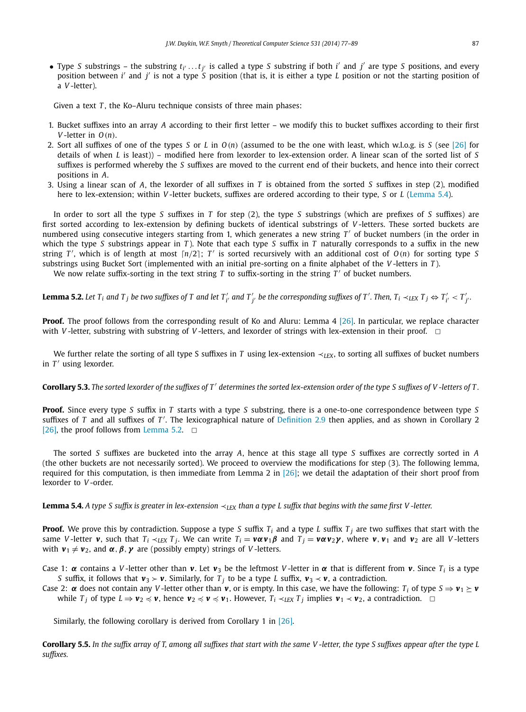• Type *S* substrings – the substring  $t_{i'}...t_{j'}$  is called a type *S* substring if both  $i'$  and  $j'$  are type *S* positions, and every position between *i'* and *j'* is not a type *S* position (that is, it is either a type *L* position or not the starting position of a *V* -letter).

Given a text *T*, the Ko–Aluru technique consists of three main phases:

- 1. Bucket suffixes into an array *A* according to their first letter we modify this to bucket suffixes according to their first *V* -letter in *O(n)*.
- 2. Sort all suffixes of one of the types *S* or *L* in *O(n)* (assumed to be the one with least, which w.l.o.g. is *S* (see [\[26\]](#page-13-0) for details of when *L* is least)) – modified here from lexorder to lex-extension order. A linear scan of the sorted list of *S* suffixes is performed whereby the *S* suffixes are moved to the current end of their buckets, and hence into their correct positions in *A*.
- 3. Using a linear scan of *A*, the lexorder of all suffixes in *T* is obtained from the sorted *S* suffixes in step (2), modified here to lex-extension; within *V* -letter buckets, suffixes are ordered according to their type, *S* or *L* (Lemma 5.4).

In order to sort all the type *S* suffixes in *T* for step (2), the type *S* substrings (which are prefixes of *S* suffixes) are first sorted according to lex-extension by defining buckets of identical substrings of *V* -letters. These sorted buckets are numbered using consecutive integers starting from 1, which generates a new string  $T'$  of bucket numbers (in the order in which the type *S* substrings appear in *T* ). Note that each type *S* suffix in *T* naturally corresponds to a suffix in the new string  $T'$ , which is of length at most  $\lceil n/2 \rceil$ ;  $T'$  is sorted recursively with an additional cost of  $O(n)$  for sorting type S substrings using Bucket Sort (implemented with an initial pre-sorting on a finite alphabet of the *V* -letters in *T* ).

We now relate suffix-sorting in the text string  $T$  to suffix-sorting in the string  $T'$  of bucket numbers.

**Lemma 5.2.** Let  $T_i$  and  $T_j$  be two suffixes of  $T$  and let  $T'_{i'}$  and  $T'_{j'}$  be the corresponding suffixes of  $T'$ . Then,  $T_i\prec_{LEX} T_j \Leftrightarrow T'_{i'}< T'_{j'}$ .

**Proof.** The proof follows from the corresponding result of Ko and Aluru: Lemma 4 [\[26\].](#page-13-0) In particular, we replace character with *V*-letter, substring with substring of *V*-letters, and lexorder of strings with lex-extension in their proof.  $\Box$ 

We further relate the sorting of all type S suffixes in *T* using lex-extension ≺<sub>LEX</sub>, to sorting all suffixes of bucket numbers in  $T'$  using lexorder.

**Corollary 5.3.** The sorted lexorder of the suffixes of T' determines the sorted lex-extension order of the type S suffixes of V -letters of T.

**Proof.** Since every type *S* suffix in *T* starts with a type *S* substring, there is a one-to-one correspondence between type *S* suffixes of *T* and all suffixes of *T'*. The lexicographical nature of [Definition 2.9](#page-5-0) then applies, and as shown in Corollary 2 [\[26\],](#page-13-0) the proof follows from Lemma 5.2.  $\Box$ 

The sorted *S* suffixes are bucketed into the array *A*, hence at this stage all type *S* suffixes are correctly sorted in *A* (the other buckets are not necessarily sorted). We proceed to overview the modifications for step (3). The following lemma, required for this computation, is then immediate from Lemma 2 in  $[26]$ ; we detail the adaptation of their short proof from lexorder to *V* -order.

**Lemma 5.4.** *A type S suffix is greater in lex-extension* ≺*LEX than a type L suffix that begins with the same first V -letter.*

**Proof.** We prove this by contradiction. Suppose a type *S* suffix  $T_i$  and a type *L* suffix  $T_j$  are two suffixes that start with the same V-letter v, such that  $T_i \lt_{LEX} T_j$ . We can write  $T_i = v \alpha v_1 \beta$  and  $T_j = v \alpha v_2 \gamma$ , where v,  $v_1$  and  $v_2$  are all V-letters with  $v_1 \neq v_2$ , and  $\alpha, \beta, \gamma$  are (possibly empty) strings of *V*-letters.

Case 1:  $\alpha$  contains a *V*-letter other than **v**. Let **v**<sub>3</sub> be the leftmost *V*-letter in  $\alpha$  that is different from **v**. Since *T<sub>i</sub>* is a type *S* suffix, it follows that  $v_3 > v$ . Similarly, for *T<sub>i</sub>* to be a type *L* suffix,  $v_3 \prec v$ , a contradiction.

Case 2:  $\alpha$  does not contain any *V*-letter other than  $\nu$ , or is empty. In this case, we have the following:  $T_i$  of type  $S \Rightarrow \nu_1 \ge \nu$ while *T*<sub>*j*</sub> of type *L* ⇒  $v_2 \preccurlyeq v$ , hence  $v_2 \preccurlyeq v_1 \preccurlyeq v_1$ . However,  $T_i \prec_{LEX} T_j$  implies  $v_1 \prec v_2$ , a contradiction.  $\Box$ 

Similarly, the following corollary is derived from Corollary 1 in [\[26\].](#page-13-0)

**Corollary 5.5.** *In the suffix array of T, among all suffixes that start with the same V -letter, the type S suffixes appear after the type L suffixes.*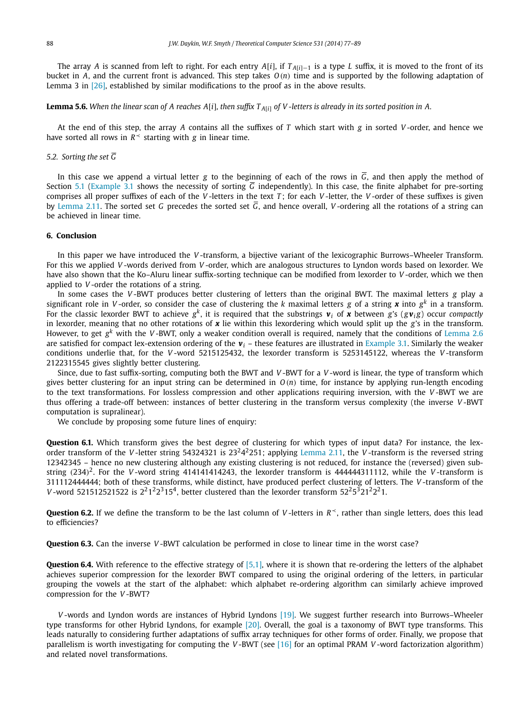<span id="page-12-0"></span>The array *A* is scanned from left to right. For each entry *A*[*i*], if *T <sup>A</sup>*[*i*]−<sup>1</sup> is a type *L* suffix, it is moved to the front of its bucket in *A*, and the current front is advanced. This step takes *O(n)* time and is supported by the following adaptation of Lemma 3 in [\[26\],](#page-13-0) established by similar modifications to the proof as in the above results.

**Lemma 5.6.** *When the linear scan of A reaches A*[*i*]*, then suffix T <sup>A</sup>*[*i*] *of V -letters is already in its sorted position in A.*

At the end of this step, the array *A* contains all the suffixes of *T* which start with *g* in sorted *V* -order, and hence we have sorted all rows in  $R<sup>2</sup>$  starting with *g* in linear time.

#### *5.2. Sorting the set G*

In this case we append a virtual letter *g* to the beginning of each of the rows in  $\overline{G}$ , and then apply the method of Section [5.1](#page-10-0) [\(Example 3.1](#page-6-0) shows the necessity of sorting  $\overline{G}$  independently). In this case, the finite alphabet for pre-sorting comprises all proper suffixes of each of the *V* -letters in the text *T* ; for each *V* -letter, the *V* -order of these suffixes is given by [Lemma 2.11.](#page-5-0) The sorted set *G* precedes the sorted set  $\overline{G}$ , and hence overall, *V*-ordering all the rotations of a string can be achieved in linear time.

### **6. Conclusion**

In this paper we have introduced the *V* -transform, a bijective variant of the lexicographic Burrows–Wheeler Transform. For this we applied *V* -words derived from *V* -order, which are analogous structures to Lyndon words based on lexorder. We have also shown that the Ko–Aluru linear suffix-sorting technique can be modified from lexorder to *V* -order, which we then applied to *V* -order the rotations of a string.

In some cases the *V* -BWT produces better clustering of letters than the original BWT. The maximal letters *g* play a significant role in *V*-order, so consider the case of clustering the *k* maximal letters *g* of a string *x* into  $g<sup>k</sup>$  in a transform. For the classic lexorder BWT to achieve  $g^k$ , it is required that the substrings  $v_i$  of x between *g*'s ( $g v_i$ *g*) occur *compactly* in lexorder, meaning that no other rotations of *x* lie within this lexordering which would split up the *g*'s in the transform. However, to get *g<sup>k</sup>* with the *V* -BWT, only a weaker condition overall is required, namely that the conditions of [Lemma 2.6](#page-4-0) are satisfied for compact lex-extension ordering of the  $v_i$  – these features are illustrated in [Example 3.1.](#page-6-0) Similarly the weaker conditions underlie that, for the *V* -word 5215125432, the lexorder transform is 5253145122, whereas the *V* -transform 2122315545 gives slightly better clustering.

Since, due to fast suffix-sorting, computing both the BWT and *V*-BWT for a *V*-word is linear, the type of transform which gives better clustering for an input string can be determined in *O(n)* time, for instance by applying run-length encoding to the text transformations. For lossless compression and other applications requiring inversion, with the *V* -BWT we are thus offering a trade-off between: instances of better clustering in the transform versus complexity (the inverse *V* -BWT computation is supralinear).

We conclude by proposing some future lines of enquiry:

**Question 6.1.** Which transform gives the best degree of clustering for which types of input data? For instance, the lexorder transform of the *V* -letter string 54324321 is 23242251; applying [Lemma 2.11,](#page-5-0) the *V* -transform is the reversed string 12342345 – hence no new clustering although any existing clustering is not reduced, for instance the (reversed) given substring  $(234)^2$ . For the *V*-word string 414141414243, the lexorder transform is 444444311112, while the *V*-transform is 311112444444; both of these transforms, while distinct, have produced perfect clustering of letters. The *V* -transform of the *V*-word 521512521522 is  $2^21^22^315^4$ , better clustered than the lexorder transform  $52^25^321^22^21$ .

**Question 6.2.** If we define the transform to be the last column of *V* -letters in *R*≺, rather than single letters, does this lead to efficiencies?

**Question 6.3.** Can the inverse *V* -BWT calculation be performed in close to linear time in the worst case?

**Question 6.4.** With reference to the effective strategy of [\[5,1\],](#page-13-0) where it is shown that re-ordering the letters of the alphabet achieves superior compression for the lexorder BWT compared to using the original ordering of the letters, in particular grouping the vowels at the start of the alphabet: which alphabet re-ordering algorithm can similarly achieve improved compression for the *V* -BWT?

*V* -words and Lyndon words are instances of Hybrid Lyndons [\[19\].](#page-13-0) We suggest further research into Burrows–Wheeler type transforms for other Hybrid Lyndons, for example [\[20\].](#page-13-0) Overall, the goal is a taxonomy of BWT type transforms. This leads naturally to considering further adaptations of suffix array techniques for other forms of order. Finally, we propose that parallelism is worth investigating for computing the *V* -BWT (see [\[16\]](#page-13-0) for an optimal PRAM *V* -word factorization algorithm) and related novel transformations.